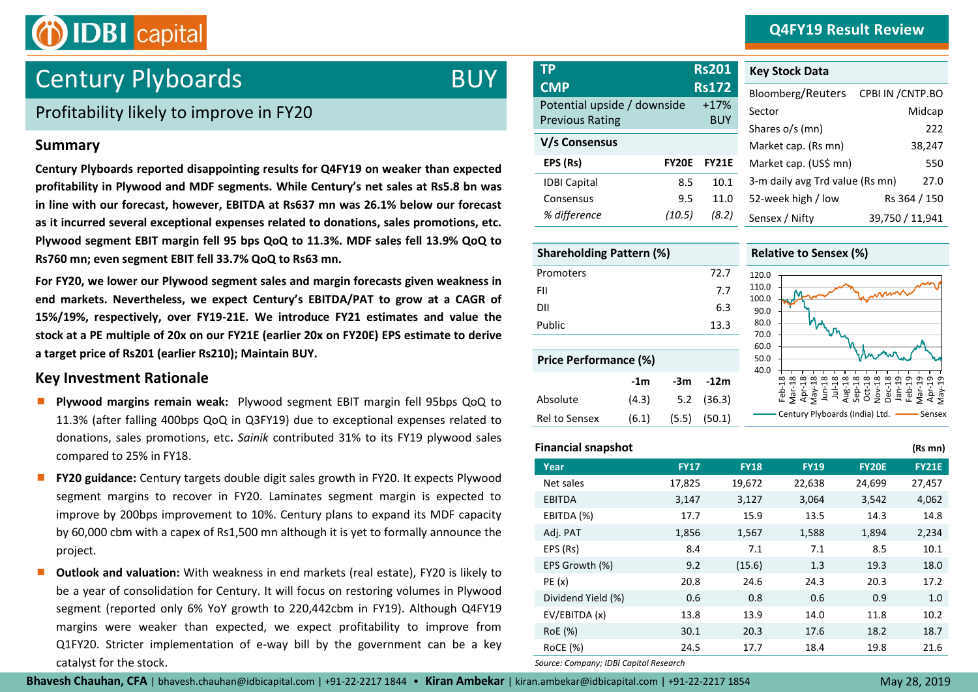### **Q4FY19 Result Review**



# Century Plyboards

### Profitability likely to improve in FY20

#### **Summary**

**Century Plyboards reported disappointing results for Q4FY19 on weaker than expected profitability in Plywood and MDF segments. While Century's net sales at Rs5.8 bn was in line with our forecast, however, EBITDA at Rs637 mn was 26.1% below our forecast as it incurred several exceptional expenses related to donations, sales promotions, etc. Plywood segment EBIT margin fell 95 bps QoQ to 11.3%. MDF sales fell 13.9% QoQ to Rs760 mn; even segment EBIT fell 33.7% QoQ to Rs63 mn.** 

**For FY20, we lower our Plywood segment sales and margin forecasts given weakness in end markets. Nevertheless, we expect Century's EBITDA/PAT to grow at a CAGR of 15%/19%, respectively, over FY19-21E. We introduce FY21 estimates and value the stock at a PE multiple of 20x on our FY21E (earlier 20x on FY20E) EPS estimate to derive a target price of Rs201 (earlier Rs210); Maintain BUY.**

#### **Key Investment Rationale**

- **Plywood margins remain weak:** Plywood segment EBIT margin fell 95bps QoQ to 11.3% (after falling 400bps QoQ in Q3FY19) due to exceptional expenses related to donations, sales promotions, etc**.** *Sainik* contributed 31% to its FY19 plywood sales compared to 25% in FY18.
- **FY20 guidance:** Century targets double digit sales growth in FY20. It expects Plywood segment margins to recover in FY20. Laminates segment margin is expected to improve by 200bps improvement to 10%. Century plans to expand its MDF capacity by 60,000 cbm with a capex of Rs1,500 mn although it is yet to formally announce the project.
- **Outlook and valuation:** With weakness in end markets (real estate), FY20 is likely to be a year of consolidation for Century. It will focus on restoring volumes in Plywood segment (reported only 6% YoY growth to 220,442cbm in FY19). Although Q4FY19 margins were weaker than expected, we expect profitability to improve from Q1FY20. Stricter implementation of e-way bill by the government can be a key catalyst for the stock.

| <b>TP</b>                   |              | <b>Rs201</b> |  |
|-----------------------------|--------------|--------------|--|
| <b>CMP</b>                  |              | <b>Rs172</b> |  |
| Potential upside / downside |              | $+17%$       |  |
| <b>Previous Rating</b>      |              | <b>BUY</b>   |  |
| V/s Consensus               |              |              |  |
| EPS (Rs)                    | <b>FY20E</b> | <b>FY21E</b> |  |
| <b>IDBI Capital</b>         | 8.5          | 10.1         |  |
| Consensus                   | 9.5          | 11.0         |  |
| % difference                | (10.5)       | (8.2)        |  |

| <b>Key Stock Data</b>           |                   |
|---------------------------------|-------------------|
| Bloomberg/Reuters               | CPBI IN / CNTP.BO |
| Sector                          | Midcap            |
| Shares o/s (mn)                 | 222               |
| Market cap. (Rs mn)             | 38,247            |
| Market cap. (US\$ mn)           | 550               |
| 3-m daily avg Trd value (Rs mn) | 27.0              |
| 52-week high / low              | Rs 364 / 150      |
| Sensex / Nifty                  | 39,750 / 11,941   |

| <b>Shareholding Pattern (%)</b> |       |       |        |  |
|---------------------------------|-------|-------|--------|--|
| Promoters                       |       |       | 72.7   |  |
| FII                             |       |       | 7.7    |  |
| DII                             |       |       | 6.3    |  |
| Public                          |       |       | 13.3   |  |
|                                 |       |       |        |  |
| <b>Price Performance (%)</b>    |       |       |        |  |
|                                 | -1m   | -3m   | $-12m$ |  |
| Absolute                        | (4.3) | 5.2   | (36.3) |  |
| Rel to Sensex                   | (6.1) | (5.5) | (50.1) |  |

#### **Relative to Sensex (%)**



#### **Financial snapshot (Rs mn)**

BUY **TP Rs201**

|                    |             |             |             |              | ,            |
|--------------------|-------------|-------------|-------------|--------------|--------------|
| Year               | <b>FY17</b> | <b>FY18</b> | <b>FY19</b> | <b>FY20E</b> | <b>FY21E</b> |
| Net sales          | 17,825      | 19,672      | 22,638      | 24,699       | 27,457       |
| <b>EBITDA</b>      | 3,147       | 3,127       | 3,064       | 3,542        | 4,062        |
| EBITDA (%)         | 17.7        | 15.9        | 13.5        | 14.3         | 14.8         |
| Adj. PAT           | 1,856       | 1,567       | 1,588       | 1,894        | 2,234        |
| EPS (Rs)           | 8.4         | 7.1         | 7.1         | 8.5          | 10.1         |
| EPS Growth (%)     | 9.2         | (15.6)      | 1.3         | 19.3         | 18.0         |
| PE(x)              | 20.8        | 24.6        | 24.3        | 20.3         | 17.2         |
| Dividend Yield (%) | 0.6         | 0.8         | 0.6         | 0.9          | 1.0          |
| EV/EBITDA (x)      | 13.8        | 13.9        | 14.0        | 11.8         | 10.2         |
| RoE (%)            | 30.1        | 20.3        | 17.6        | 18.2         | 18.7         |
| RoCE (%)           | 24.5        | 17.7        | 18.4        | 19.8         | 21.6         |
|                    |             |             |             |              |              |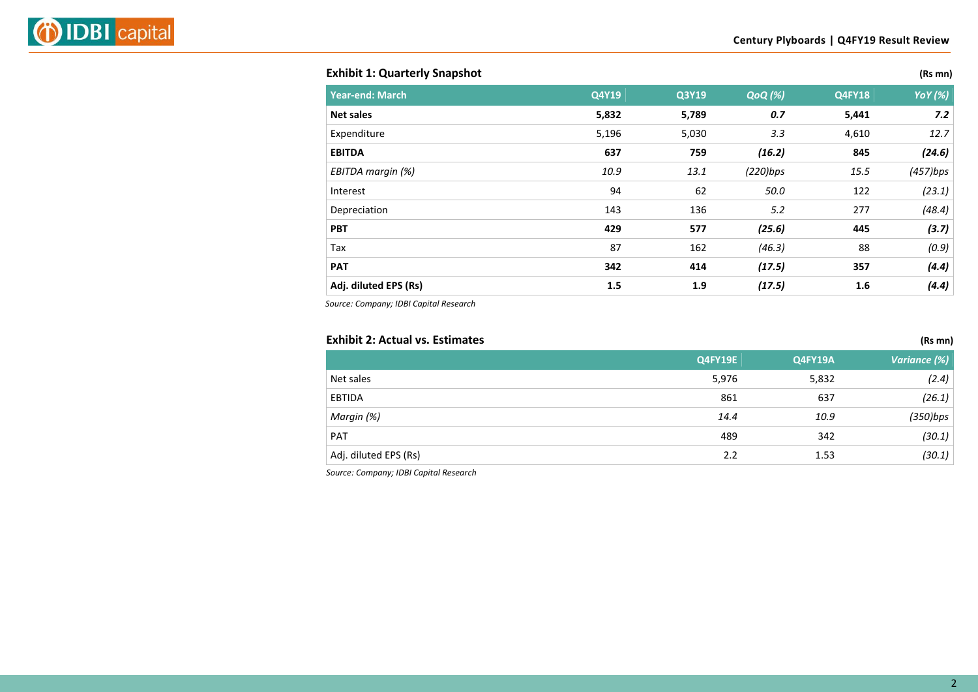#### **Exhibit 1: Quarterly Snapshot (Rs mn)**

| <b>Year-end: March</b> | Q4Y19 | Q3Y19 | <b>QoQ</b> (%) | <b>Q4FY18</b> | <b>YoY</b> (%) |
|------------------------|-------|-------|----------------|---------------|----------------|
| <b>Net sales</b>       | 5,832 | 5,789 | 0.7            | 5,441         | 7.2            |
| Expenditure            | 5,196 | 5,030 | 3.3            | 4,610         | 12.7           |
| <b>EBITDA</b>          | 637   | 759   | (16.2)         | 845           | (24.6)         |
| EBITDA margin (%)      | 10.9  | 13.1  | (220)bps       | 15.5          | (457)bps       |
| Interest               | 94    | 62    | 50.0           | 122           | (23.1)         |
| Depreciation           | 143   | 136   | 5.2            | 277           | (48.4)         |
| <b>PBT</b>             | 429   | 577   | (25.6)         | 445           | (3.7)          |
| Tax                    | 87    | 162   | (46.3)         | 88            | (0.9)          |
| <b>PAT</b>             | 342   | 414   | (17.5)         | 357           | (4.4)          |
| Adj. diluted EPS (Rs)  | 1.5   | 1.9   | (17.5)         | 1.6           | (4.4)          |

*Source: Company; IDBI Capital Research*

#### **Exhibit 2: Actual vs. Estimates (Rs mn)**

|                       | Q4FY19E | <b>Q4FY19A</b> | Variance (%) |
|-----------------------|---------|----------------|--------------|
| Net sales             | 5,976   | 5,832          | (2.4)        |
| <b>EBTIDA</b>         | 861     | 637            | (26.1)       |
| Margin (%)            | 14.4    | 10.9           | $(350)$ bps  |
| PAT                   | 489     | 342            | (30.1)       |
| Adj. diluted EPS (Rs) | 2.2     | 1.53           | (30.1)       |
|                       |         |                |              |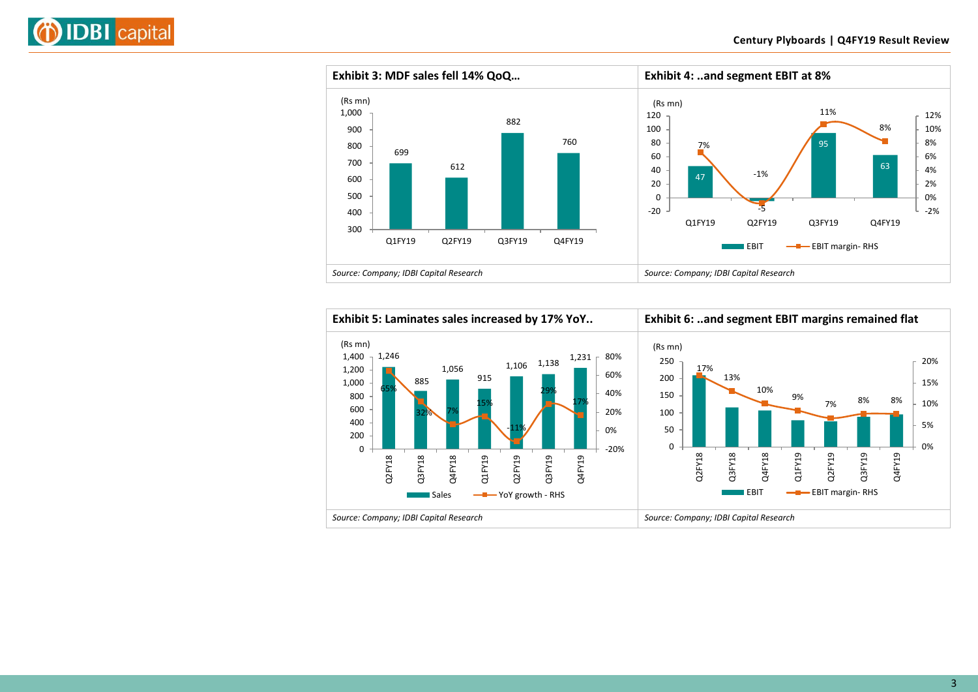





3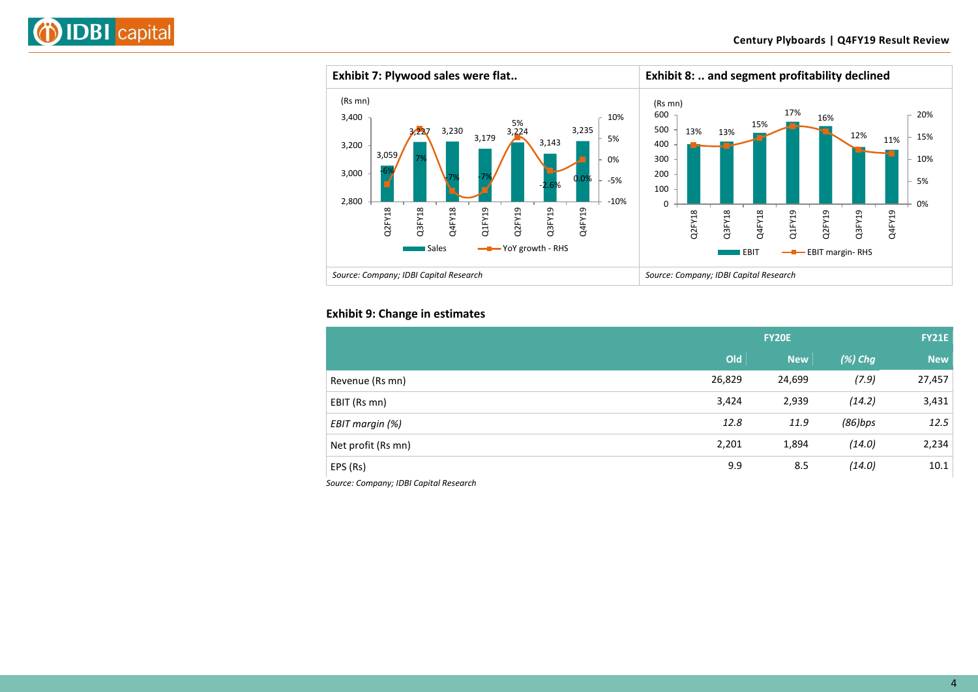



#### **Exhibit 9: Change in estimates**

|                    | <b>FY20E</b> |            |            | <b>FY21E</b> |  |
|--------------------|--------------|------------|------------|--------------|--|
|                    | Old          | <b>New</b> | $(\%)$ Chg | <b>New</b>   |  |
| Revenue (Rs mn)    | 26,829       | 24,699     | (7.9)      | 27,457       |  |
| EBIT (Rs mn)       | 3,424        | 2,939      | (14.2)     | 3,431        |  |
| EBIT margin (%)    | 12.8         | 11.9       | $(86)$ bps | 12.5         |  |
| Net profit (Rs mn) | 2,201        | 1,894      | (14.0)     | 2,234        |  |
| EPS (Rs)           | 9.9          | 8.5        | (14.0)     | 10.1         |  |
|                    |              |            |            |              |  |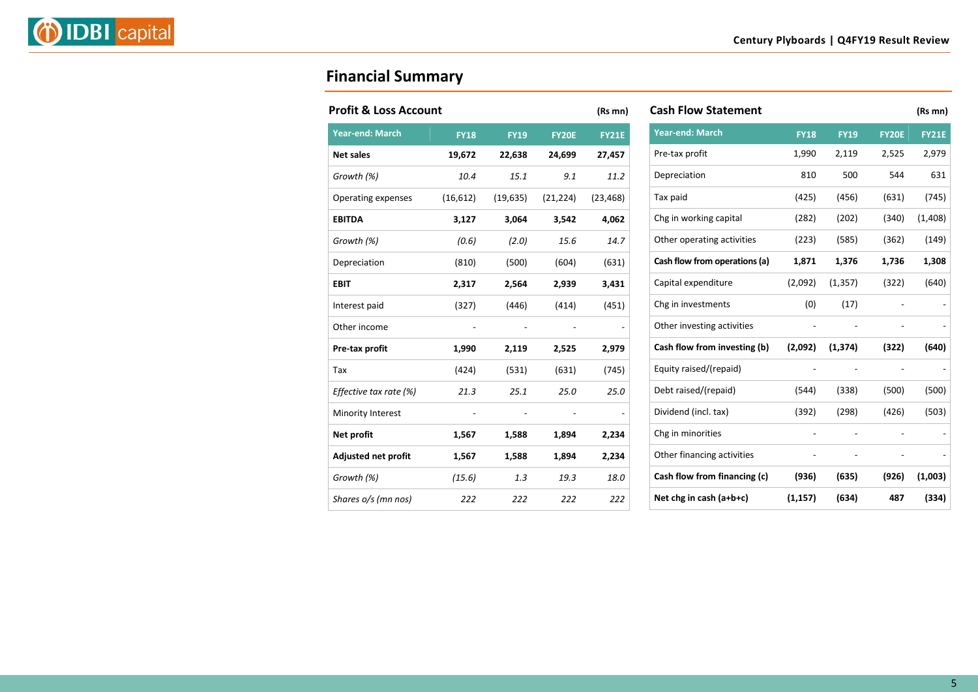

## **Financial Summary**

| <b>Profit &amp; Loss Account</b> |             |             |              | (Rs mn)      |
|----------------------------------|-------------|-------------|--------------|--------------|
| <b>Year-end: March</b>           | <b>FY18</b> | <b>FY19</b> | <b>FY20E</b> | <b>FY21E</b> |
| <b>Net sales</b>                 | 19,672      | 22,638      | 24,699       | 27,457       |
| Growth (%)                       | 10.4        | 15.1        | 9.1          | 11.2         |
| Operating expenses               | (16, 612)   | (19, 635)   | (21, 224)    | (23, 468)    |
| <b>EBITDA</b>                    | 3,127       | 3,064       | 3,542        | 4,062        |
| Growth (%)                       | (0.6)       | (2.0)       | 15.6         | 14.7         |
| Depreciation                     | (810)       | (500)       | (604)        | (631)        |
| <b>EBIT</b>                      | 2,317       | 2,564       | 2,939        | 3,431        |
| Interest paid                    | (327)       | (446)       | (414)        | (451)        |
| Other income                     |             |             |              |              |
| Pre-tax profit                   | 1,990       | 2,119       | 2,525        | 2,979        |
| Tax                              | (424)       | (531)       | (631)        | (745)        |
| Effective tax rate (%)           | 21.3        | 25.1        | 25.0         | 25.0         |
| Minority Interest                |             |             |              |              |
| Net profit                       | 1,567       | 1,588       | 1,894        | 2,234        |
| Adjusted net profit              | 1,567       | 1,588       | 1,894        | 2,234        |
| Growth (%)                       | (15.6)      | 1.3         | 19.3         | 18.0         |
| Shares o/s (mn nos)              | 222         | 222         | 222          | 222          |

| <b>Cash Flow Statement</b>    |             |             |                | (Rs mn)      |
|-------------------------------|-------------|-------------|----------------|--------------|
| <b>Year-end: March</b>        | <b>FY18</b> | <b>FY19</b> | <b>FY20E</b>   | <b>FY21E</b> |
| Pre-tax profit                | 1,990       | 2,119       | 2,525          | 2,979        |
| Depreciation                  | 810         | 500         | 544            | 631          |
| Tax paid                      | (425)       | (456)       | (631)          | (745)        |
| Chg in working capital        | (282)       | (202)       | (340)          | (1,408)      |
| Other operating activities    | (223)       | (585)       | (362)          | (149)        |
| Cash flow from operations (a) | 1,871       | 1,376       | 1,736          | 1,308        |
| Capital expenditure           | (2,092)     | (1, 357)    | (322)          | (640)        |
| Chg in investments            | (0)         | (17)        |                |              |
| Other investing activities    |             |             | $\overline{a}$ |              |
| Cash flow from investing (b)  | (2,092)     | (1, 374)    | (322)          | (640)        |
| Equity raised/(repaid)        |             |             | $\overline{a}$ |              |
| Debt raised/(repaid)          | (544)       | (338)       | (500)          | (500)        |
| Dividend (incl. tax)          | (392)       | (298)       | (426)          | (503)        |
| Chg in minorities             |             |             |                |              |
| Other financing activities    |             |             | -              |              |
| Cash flow from financing (c)  | (936)       | (635)       | (926)          | (1,003)      |
| Net chg in cash $(a+b+c)$     | (1, 157)    | (634)       | 487            | (334)        |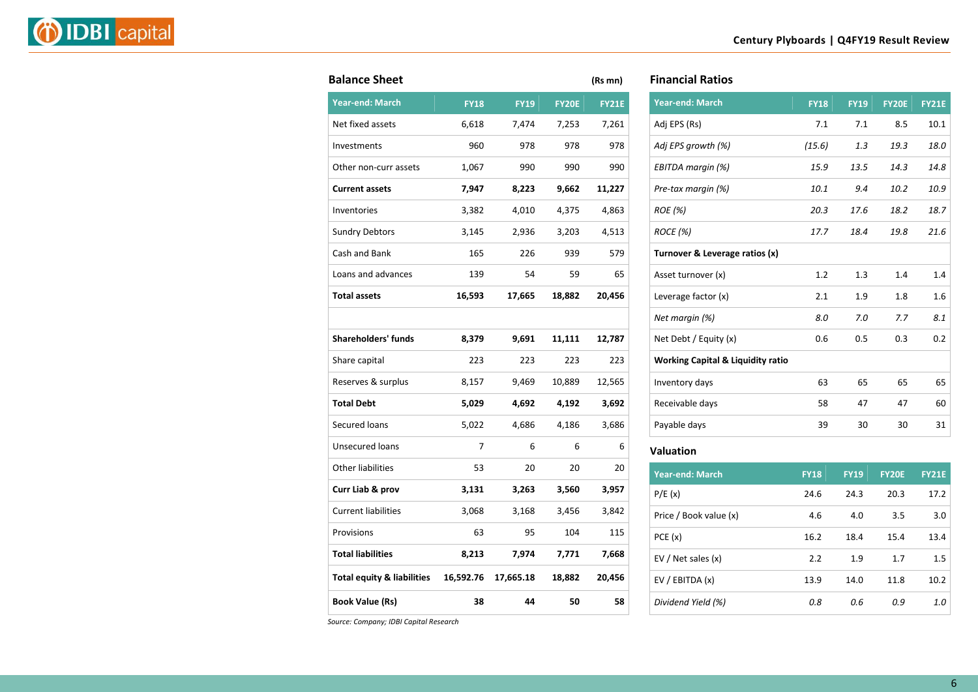|--|--|

| <b>Balance Sheet</b>                  |             |             |              | (Rs mn)      |
|---------------------------------------|-------------|-------------|--------------|--------------|
| <b>Year-end: March</b>                | <b>FY18</b> | <b>FY19</b> | <b>FY20E</b> | <b>FY21E</b> |
| Net fixed assets                      | 6,618       | 7,474       | 7,253        | 7,261        |
| Investments                           | 960         | 978         | 978          | 978          |
| Other non-curr assets                 | 1,067       | 990         | 990          | 990          |
| <b>Current assets</b>                 | 7,947       | 8,223       | 9,662        | 11,227       |
| Inventories                           | 3,382       | 4,010       | 4,375        | 4,863        |
| <b>Sundry Debtors</b>                 | 3,145       | 2,936       | 3,203        | 4,513        |
| Cash and Bank                         | 165         | 226         | 939          | 579          |
| Loans and advances                    | 139         | 54          | 59           | 65           |
| <b>Total assets</b>                   | 16,593      | 17,665      | 18,882       | 20,456       |
|                                       |             |             |              |              |
| <b>Shareholders' funds</b>            | 8,379       | 9,691       | 11,111       | 12,787       |
| Share capital                         | 223         | 223         | 223          | 223          |
| Reserves & surplus                    | 8,157       | 9,469       | 10,889       | 12,565       |
| <b>Total Debt</b>                     | 5,029       | 4,692       | 4,192        | 3,692        |
| Secured loans                         | 5,022       | 4,686       | 4,186        | 3,686        |
| <b>Unsecured loans</b>                | 7           | 6           | 6            | 6            |
| <b>Other liabilities</b>              | 53          | 20          | 20           | 20           |
| Curr Liab & prov                      | 3,131       | 3,263       | 3,560        | 3,957        |
| <b>Current liabilities</b>            | 3,068       | 3,168       | 3,456        | 3,842        |
| Provisions                            | 63          | 95          | 104          | 115          |
| <b>Total liabilities</b>              | 8,213       | 7,974       | 7,771        | 7,668        |
| <b>Total equity &amp; liabilities</b> | 16,592.76   | 17,665.18   | 18,882       | 20,456       |
| <b>Book Value (Rs)</b>                | 38          | 44          | 50           | 58           |
|                                       |             |             |              |              |

| <b>Financial Ratios</b> |  |
|-------------------------|--|
|-------------------------|--|

| <b>Year-end: March</b>                       | <b>FY18</b> | <b>FY19</b> | <b>FY20E</b> | <b>FY21E</b> |
|----------------------------------------------|-------------|-------------|--------------|--------------|
| Adj EPS (Rs)                                 | 7.1         | 7.1         | 8.5          | 10.1         |
| Adj EPS growth (%)                           | (15.6)      | 1.3         | 19.3         | 18.0         |
| EBITDA margin (%)                            | 15.9        | 13.5        | 14.3         | 14.8         |
| Pre-tax margin (%)                           | 10.1        | 9.4         | 10.2         | 10.9         |
| ROE (%)                                      | 20.3        | 17.6        | 18.2         | 18.7         |
| ROCE (%)                                     | 17.7        | 18.4        | 19.8         | 21.6         |
| Turnover & Leverage ratios (x)               |             |             |              |              |
| Asset turnover (x)                           | 1.2         | 1.3         | 1.4          | 1.4          |
| Leverage factor (x)                          | 2.1         | 1.9         | 1.8          | 1.6          |
| Net margin (%)                               | 8.0         | 7.0         | 7.7          | 8.1          |
| Net Debt / Equity (x)                        | 0.6         | 0.5         | 0.3          | 0.2          |
| <b>Working Capital &amp; Liquidity ratio</b> |             |             |              |              |
| Inventory days                               | 63          | 65          | 65           | 65           |
| Receivable days                              | 58          | 47          | 47           | 60           |
| Payable days                                 | 39          | 30          | 30           | 31           |
|                                              |             |             |              |              |

#### **Valuation**

| <b>Year-end: March</b> | <b>FY18</b> | <b>FY19</b> | <b>FY20E</b> | <b>FY21E</b> |
|------------------------|-------------|-------------|--------------|--------------|
| P/E(x)                 | 24.6        | 24.3        | 20.3         | 17.2         |
| Price / Book value (x) | 4.6         | 4.0         | 3.5          | 3.0          |
| PCE(x)                 | 16.2        | 18.4        | 15.4         | 13.4         |
| EV / Net sales $(x)$   | 2.2         | 1.9         | 1.7          | 1.5          |
| EV / EBITDA (x)        | 13.9        | 14.0        | 11.8         | 10.2         |
| Dividend Yield (%)     | 0.8         | 0.6         | 0.9          | 1.0          |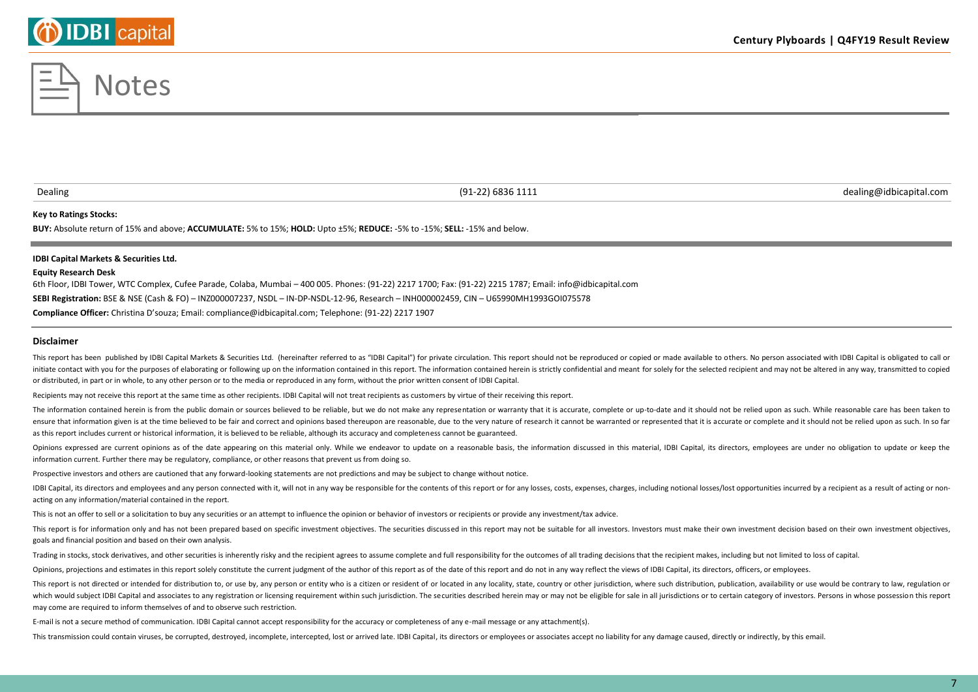#### **Key to Ratings Stocks:**

**BUY:** Absolute return of 15% and above; **ACCUMULATE:** 5% to 15%; **HOLD:** Upto ±5%; **REDUCE:** -5% to -15%; **SELL:** -15% and below.

#### **IDBI Capital Markets & Securities Ltd.**

#### **Equity Research Desk**

6th Floor, IDBI Tower, WTC Complex, Cufee Parade, Colaba, Mumbai – 400 005. Phones: (91-22) 2217 1700; Fax: (91-22) 2215 1787; Email: info@idbicapital.com **SEBI Registration:** BSE & NSE (Cash & FO) – INZ000007237, NSDL – IN-DP-NSDL-12-96, Research – INH000002459, CIN – U65990MH1993GOI075578 **Compliance Officer:** Christina D'souza; Email: compliance@idbicapital.com; Telephone: (91-22) 2217 1907

**Disclaimer**

This report has been published by IDBI Capital Markets & Securities Ltd. (hereinafter referred to as "IDBI Capital") for private circulation. This report should not be reproduced or copied or made available to others. No p initiate contact with you for the purposes of elaborating or following up on the information contained in this report. The information contained herein is strictly confidential and meant for solely for the selected recipie or distributed, in part or in whole, to any other person or to the media or reproduced in any form, without the prior written consent of IDBI Capital.

Recipients may not receive this report at the same time as other recipients. IDBI Capital will not treat recipients as customers by virtue of their receiving this report.

The information contained herein is from the public domain or sources believed to be reliable, but we do not make any representation or warranty that it is accurate, complete or up-to-date and it should not be relied upon ensure that information given is at the time believed to be fair and correct and opinions based thereupon are reasonable, due to the very nature of research it cannot be warranted or represented that it is accurate or comp as this report includes current or historical information, it is believed to be reliable, although its accuracy and completeness cannot be guaranteed.

Opinions expressed are current opinions as of the date appearing on this material only. While we endeavor to update on a reasonable basis, the information discussed in this material, IDBI Capital, its directors, employees information current. Further there may be regulatory, compliance, or other reasons that prevent us from doing so.

Prospective investors and others are cautioned that any forward-looking statements are not predictions and may be subject to change without notice.

IDBI Capital, its directors and employees and any person connected with it, will not in any way be responsible for the contents of this report or for any losses, costs, expenses, charges, including notional losses/lost opp acting on any information/material contained in the report.

This is not an offer to sell or a solicitation to buy any securities or an attempt to influence the opinion or behavior of investors or recipients or provide any investment/tax advice.

This report is for information only and has not been prepared based on specific investment objectives. The securities discussed in this report may not be suitable for all investors. Investors must make their own investment goals and financial position and based on their own analysis.

Trading in stocks, stock derivatives, and other securities is inherently risky and the recipient agrees to assume complete and full responsibility for the outcomes of all trading decisions that the recipient makes, includi

Opinions, projections and estimates in this report solely constitute the current judgment of the author of this report as of the date of this report and do not in any way reflect the views of IDBI Capital, its directors, o

This report is not directed or intended for distribution to, or use by, any person or entity who is a citizen or resident of or located in any locality, state, country or other jurisdiction, where such distribution, public which would subject IDBI Capital and associates to any registration or licensing requirement within such jurisdiction. The securities described herein may or may not be eligible for sale in all jurisdictions or to certain may come are required to inform themselves of and to observe such restriction.

E-mail is not a secure method of communication. IDBI Capital cannot accept responsibility for the accuracy or completeness of any e-mail message or any attachment(s).

This transmission could contain viruses, be corrupted, destroyed, incomplete, intercepted, lost or arrived late. IDBI Capital, its directors or employees or associates accept no liability for any damage caused, directly or



Dealing (91-22) 6836 1111 dealing@idbicapital.com